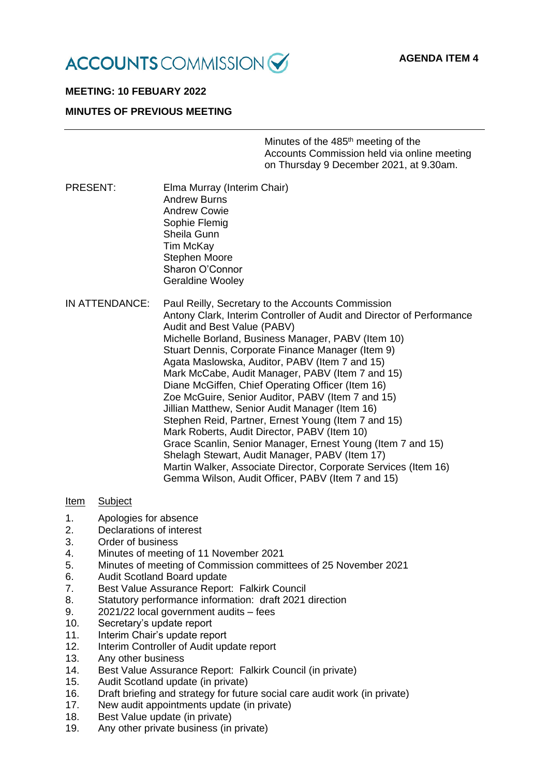

# **MEETING: 10 FEBUARY 2022**

# **MINUTES OF PREVIOUS MEETING**

Minutes of the 485<sup>th</sup> meeting of the Accounts Commission held via online meeting on Thursday 9 December 2021, at 9.30am.

- PRESENT: Elma Murray (Interim Chair) Andrew Burns Andrew Cowie Sophie Flemig Sheila Gunn Tim McKay Stephen Moore Sharon O'Connor Geraldine Wooley
- IN ATTENDANCE: Paul Reilly, Secretary to the Accounts Commission Antony Clark, Interim Controller of Audit and Director of Performance Audit and Best Value (PABV) Michelle Borland, Business Manager, PABV (Item 10) Stuart Dennis, Corporate Finance Manager (Item 9) Agata Maslowska, Auditor, PABV (Item 7 and 15) Mark McCabe, Audit Manager, PABV (Item 7 and 15) Diane McGiffen, Chief Operating Officer (Item 16) Zoe McGuire, Senior Auditor, PABV (Item 7 and 15) Jillian Matthew, Senior Audit Manager (Item 16) Stephen Reid, Partner, Ernest Young (Item 7 and 15) Mark Roberts, Audit Director, PABV (Item 10) Grace Scanlin, Senior Manager, Ernest Young (Item 7 and 15) Shelagh Stewart, Audit Manager, PABV (Item 17) Martin Walker, Associate Director, Corporate Services (Item 16) Gemma Wilson, Audit Officer, PABV (Item 7 and 15)

## Item Subject

- 1. Apologies for absence
- 2. Declarations of interest
- 3. Order of business
- 4. Minutes of meeting of 11 November 2021
- 5. Minutes of meeting of Commission committees of 25 November 2021
- 6. Audit Scotland Board update
- 7. Best Value Assurance Report: Falkirk Council
- 8. Statutory performance information: draft 2021 direction
- 9. 2021/22 local government audits fees
- 10. Secretary's update report
- 11. Interim Chair's update report
- 12. Interim Controller of Audit update report
- 13. Any other business
- 14. Best Value Assurance Report: Falkirk Council (in private)
- 15. Audit Scotland update (in private)
- 16. Draft briefing and strategy for future social care audit work (in private)
- 17. New audit appointments update (in private)
- 18. Best Value update (in private)
- 19. Any other private business (in private)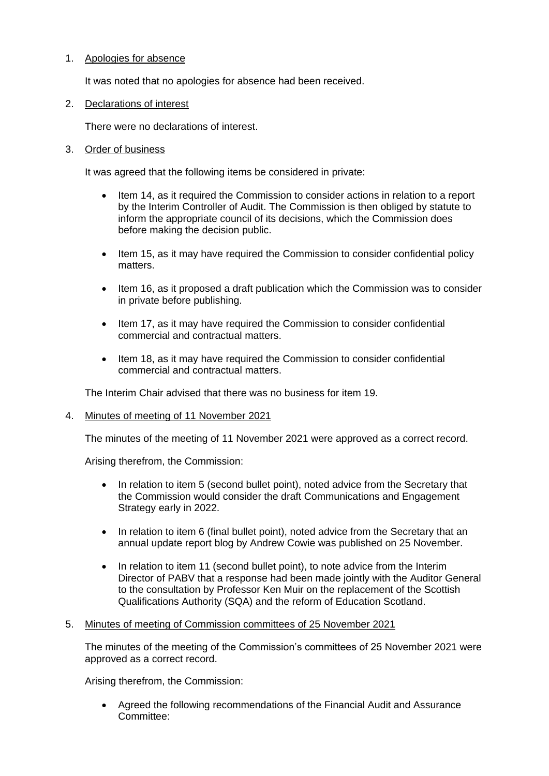# 1. Apologies for absence

It was noted that no apologies for absence had been received.

2. Declarations of interest

There were no declarations of interest.

## 3. Order of business

It was agreed that the following items be considered in private:

- Item 14, as it required the Commission to consider actions in relation to a report by the Interim Controller of Audit. The Commission is then obliged by statute to inform the appropriate council of its decisions, which the Commission does before making the decision public.
- Item 15, as it may have required the Commission to consider confidential policy matters.
- Item 16, as it proposed a draft publication which the Commission was to consider in private before publishing.
- Item 17, as it may have required the Commission to consider confidential commercial and contractual matters.
- Item 18, as it may have required the Commission to consider confidential commercial and contractual matters.

The Interim Chair advised that there was no business for item 19.

4. Minutes of meeting of 11 November 2021

The minutes of the meeting of 11 November 2021 were approved as a correct record.

Arising therefrom, the Commission:

- In relation to item 5 (second bullet point), noted advice from the Secretary that the Commission would consider the draft Communications and Engagement Strategy early in 2022.
- In relation to item 6 (final bullet point), noted advice from the Secretary that an annual update report blog by Andrew Cowie was published on 25 November.
- In relation to item 11 (second bullet point), to note advice from the Interim Director of PABV that a response had been made jointly with the Auditor General to the consultation by Professor Ken Muir on the replacement of the Scottish Qualifications Authority (SQA) and the reform of Education Scotland.

### 5. Minutes of meeting of Commission committees of 25 November 2021

The minutes of the meeting of the Commission's committees of 25 November 2021 were approved as a correct record.

Arising therefrom, the Commission:

• Agreed the following recommendations of the Financial Audit and Assurance Committee: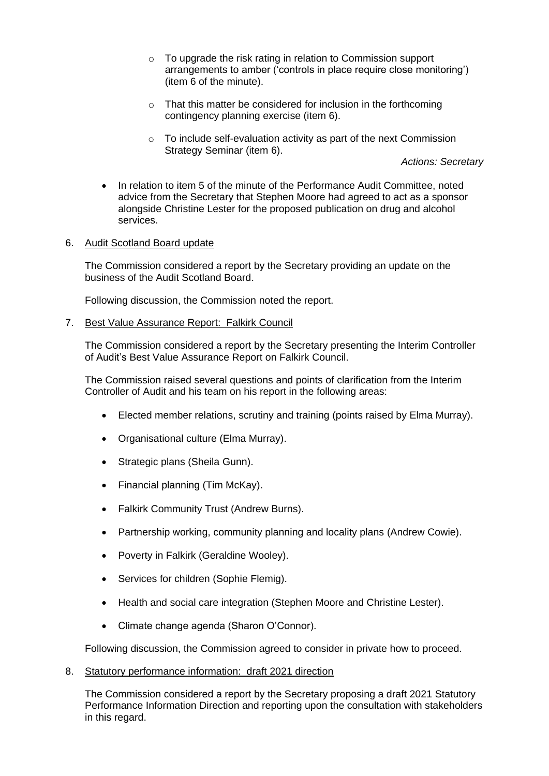- o To upgrade the risk rating in relation to Commission support arrangements to amber ('controls in place require close monitoring') (item 6 of the minute).
- $\circ$  That this matter be considered for inclusion in the forthcoming contingency planning exercise (item 6).
- $\circ$  To include self-evaluation activity as part of the next Commission Strategy Seminar (item 6).

*Actions: Secretary*

• In relation to item 5 of the minute of the Performance Audit Committee, noted advice from the Secretary that Stephen Moore had agreed to act as a sponsor alongside Christine Lester for the proposed publication on drug and alcohol services.

## 6. Audit Scotland Board update

The Commission considered a report by the Secretary providing an update on the business of the Audit Scotland Board.

Following discussion, the Commission noted the report.

## 7. Best Value Assurance Report: Falkirk Council

The Commission considered a report by the Secretary presenting the Interim Controller of Audit's Best Value Assurance Report on Falkirk Council.

The Commission raised several questions and points of clarification from the Interim Controller of Audit and his team on his report in the following areas:

- Elected member relations, scrutiny and training (points raised by Elma Murray).
- Organisational culture (Elma Murray).
- Strategic plans (Sheila Gunn).
- Financial planning (Tim McKay).
- Falkirk Community Trust (Andrew Burns).
- Partnership working, community planning and locality plans (Andrew Cowie).
- Poverty in Falkirk (Geraldine Wooley).
- Services for children (Sophie Flemig).
- Health and social care integration (Stephen Moore and Christine Lester).
- Climate change agenda (Sharon O'Connor).

Following discussion, the Commission agreed to consider in private how to proceed.

8. Statutory performance information: draft 2021 direction

The Commission considered a report by the Secretary proposing a draft 2021 Statutory Performance Information Direction and reporting upon the consultation with stakeholders in this regard.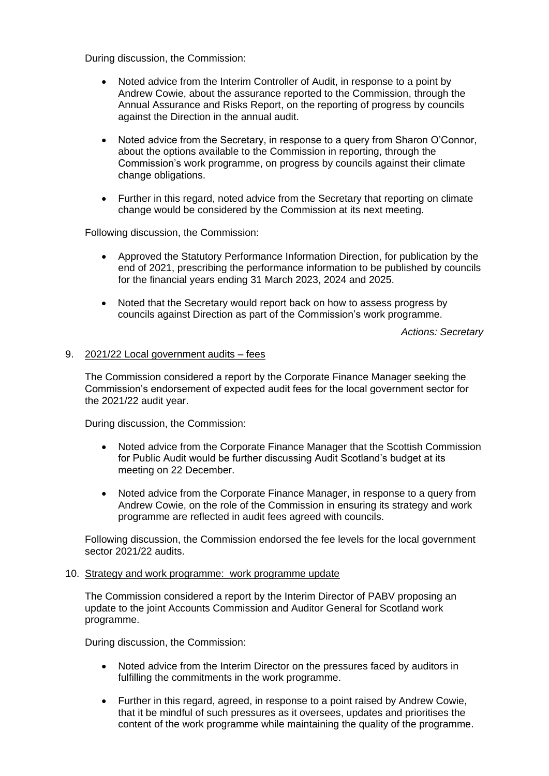During discussion, the Commission:

- Noted advice from the Interim Controller of Audit, in response to a point by Andrew Cowie, about the assurance reported to the Commission, through the Annual Assurance and Risks Report, on the reporting of progress by councils against the Direction in the annual audit.
- Noted advice from the Secretary, in response to a query from Sharon O'Connor, about the options available to the Commission in reporting, through the Commission's work programme, on progress by councils against their climate change obligations.
- Further in this regard, noted advice from the Secretary that reporting on climate change would be considered by the Commission at its next meeting.

Following discussion, the Commission:

- Approved the Statutory Performance Information Direction, for publication by the end of 2021, prescribing the performance information to be published by councils for the financial years ending 31 March 2023, 2024 and 2025.
- Noted that the Secretary would report back on how to assess progress by councils against Direction as part of the Commission's work programme.

*Actions: Secretary*

## 9. 2021/22 Local government audits – fees

The Commission considered a report by the Corporate Finance Manager seeking the Commission's endorsement of expected audit fees for the local government sector for the 2021/22 audit year.

During discussion, the Commission:

- Noted advice from the Corporate Finance Manager that the Scottish Commission for Public Audit would be further discussing Audit Scotland's budget at its meeting on 22 December.
- Noted advice from the Corporate Finance Manager, in response to a query from Andrew Cowie, on the role of the Commission in ensuring its strategy and work programme are reflected in audit fees agreed with councils.

Following discussion, the Commission endorsed the fee levels for the local government sector 2021/22 audits.

### 10. Strategy and work programme: work programme update

The Commission considered a report by the Interim Director of PABV proposing an update to the joint Accounts Commission and Auditor General for Scotland work programme.

During discussion, the Commission:

- Noted advice from the Interim Director on the pressures faced by auditors in fulfilling the commitments in the work programme.
- Further in this regard, agreed, in response to a point raised by Andrew Cowie, that it be mindful of such pressures as it oversees, updates and prioritises the content of the work programme while maintaining the quality of the programme.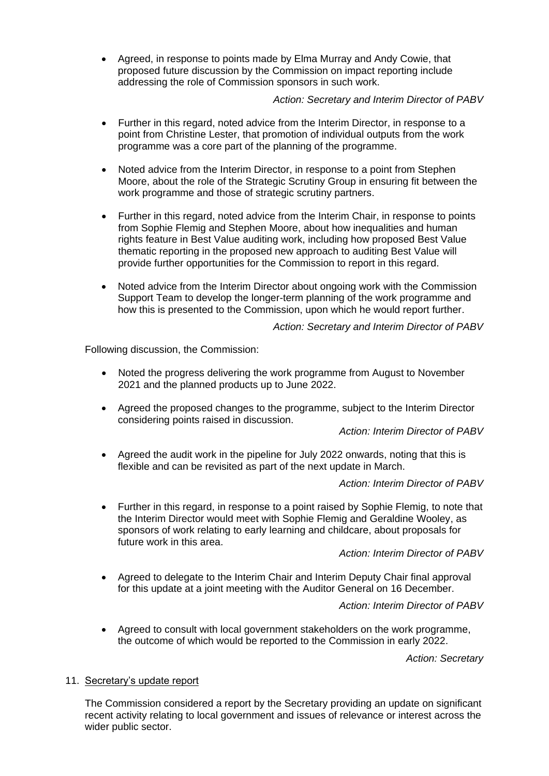• Agreed, in response to points made by Elma Murray and Andy Cowie, that proposed future discussion by the Commission on impact reporting include addressing the role of Commission sponsors in such work.

# *Action: Secretary and Interim Director of PABV*

- Further in this regard, noted advice from the Interim Director, in response to a point from Christine Lester, that promotion of individual outputs from the work programme was a core part of the planning of the programme.
- Noted advice from the Interim Director, in response to a point from Stephen Moore, about the role of the Strategic Scrutiny Group in ensuring fit between the work programme and those of strategic scrutiny partners.
- Further in this regard, noted advice from the Interim Chair, in response to points from Sophie Flemig and Stephen Moore, about how inequalities and human rights feature in Best Value auditing work, including how proposed Best Value thematic reporting in the proposed new approach to auditing Best Value will provide further opportunities for the Commission to report in this regard.
- Noted advice from the Interim Director about ongoing work with the Commission Support Team to develop the longer-term planning of the work programme and how this is presented to the Commission, upon which he would report further.

*Action: Secretary and Interim Director of PABV*

Following discussion, the Commission:

- Noted the progress delivering the work programme from August to November 2021 and the planned products up to June 2022.
- Agreed the proposed changes to the programme, subject to the Interim Director considering points raised in discussion.

*Action: Interim Director of PABV*

• Agreed the audit work in the pipeline for July 2022 onwards, noting that this is flexible and can be revisited as part of the next update in March.

*Action: Interim Director of PABV*

• Further in this regard, in response to a point raised by Sophie Flemig, to note that the Interim Director would meet with Sophie Flemig and Geraldine Wooley, as sponsors of work relating to early learning and childcare, about proposals for future work in this area.

*Action: Interim Director of PABV*

• Agreed to delegate to the Interim Chair and Interim Deputy Chair final approval for this update at a joint meeting with the Auditor General on 16 December.

*Action: Interim Director of PABV*

• Agreed to consult with local government stakeholders on the work programme, the outcome of which would be reported to the Commission in early 2022.

*Action: Secretary*

## 11. Secretary's update report

The Commission considered a report by the Secretary providing an update on significant recent activity relating to local government and issues of relevance or interest across the wider public sector.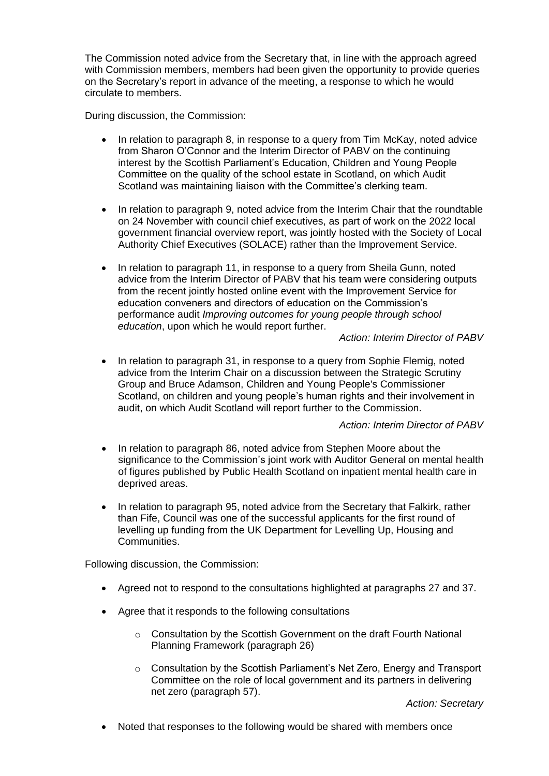The Commission noted advice from the Secretary that, in line with the approach agreed with Commission members, members had been given the opportunity to provide queries on the Secretary's report in advance of the meeting, a response to which he would circulate to members.

During discussion, the Commission:

- In relation to paragraph 8, in response to a query from Tim McKay, noted advice from Sharon O'Connor and the Interim Director of PABV on the continuing interest by the Scottish Parliament's Education, Children and Young People Committee on the quality of the school estate in Scotland, on which Audit Scotland was maintaining liaison with the Committee's clerking team.
- In relation to paragraph 9, noted advice from the Interim Chair that the roundtable on 24 November with council chief executives, as part of work on the 2022 local government financial overview report, was jointly hosted with the Society of Local Authority Chief Executives (SOLACE) rather than the Improvement Service.
- In relation to paragraph 11, in response to a query from Sheila Gunn, noted advice from the Interim Director of PABV that his team were considering outputs from the recent jointly hosted online event with the Improvement Service for education conveners and directors of education on the Commission's performance audit *Improving outcomes for young people through school education*, upon which he would report further.

# *Action: Interim Director of PABV*

• In relation to paragraph 31, in response to a query from Sophie Flemig, noted advice from the Interim Chair on a discussion between the Strategic Scrutiny Group and Bruce Adamson, Children and Young People's Commissioner Scotland, on children and young people's human rights and their involvement in audit, on which Audit Scotland will report further to the Commission.

## *Action: Interim Director of PABV*

- In relation to paragraph 86, noted advice from Stephen Moore about the significance to the Commission's joint work with Auditor General on mental health of figures published by Public Health Scotland on inpatient mental health care in deprived areas.
- In relation to paragraph 95, noted advice from the Secretary that Falkirk, rather than Fife, Council was one of the successful applicants for the first round of levelling up funding from the UK Department for Levelling Up, Housing and Communities.

Following discussion, the Commission:

- Agreed not to respond to the consultations highlighted at paragraphs 27 and 37.
- Agree that it responds to the following consultations
	- o Consultation by the Scottish Government on the draft Fourth National Planning Framework (paragraph 26)
	- o Consultation by the Scottish Parliament's Net Zero, Energy and Transport Committee on the role of local government and its partners in delivering net zero (paragraph 57).

*Action: Secretary*

• Noted that responses to the following would be shared with members once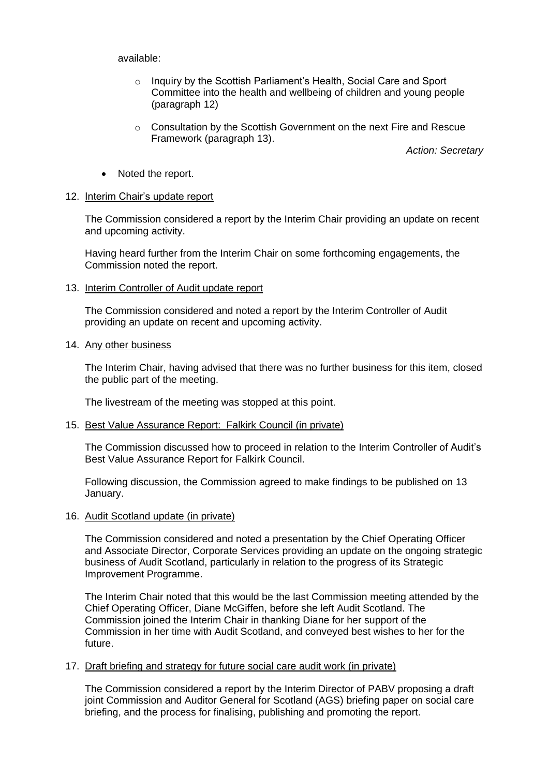#### available:

- o Inquiry by the Scottish Parliament's Health, Social Care and Sport Committee into the health and wellbeing of children and young people (paragraph 12)
- o Consultation by the Scottish Government on the next Fire and Rescue Framework (paragraph 13).

*Action: Secretary*

• Noted the report.

### 12. Interim Chair's update report

The Commission considered a report by the Interim Chair providing an update on recent and upcoming activity.

Having heard further from the Interim Chair on some forthcoming engagements, the Commission noted the report.

13. Interim Controller of Audit update report

The Commission considered and noted a report by the Interim Controller of Audit providing an update on recent and upcoming activity.

### 14. Any other business

The Interim Chair, having advised that there was no further business for this item, closed the public part of the meeting.

The livestream of the meeting was stopped at this point.

### 15. Best Value Assurance Report: Falkirk Council (in private)

The Commission discussed how to proceed in relation to the Interim Controller of Audit's Best Value Assurance Report for Falkirk Council.

Following discussion, the Commission agreed to make findings to be published on 13 January.

### 16. Audit Scotland update (in private)

The Commission considered and noted a presentation by the Chief Operating Officer and Associate Director, Corporate Services providing an update on the ongoing strategic business of Audit Scotland, particularly in relation to the progress of its Strategic Improvement Programme.

The Interim Chair noted that this would be the last Commission meeting attended by the Chief Operating Officer, Diane McGiffen, before she left Audit Scotland. The Commission joined the Interim Chair in thanking Diane for her support of the Commission in her time with Audit Scotland, and conveyed best wishes to her for the future.

### 17. Draft briefing and strategy for future social care audit work (in private)

The Commission considered a report by the Interim Director of PABV proposing a draft joint Commission and Auditor General for Scotland (AGS) briefing paper on social care briefing, and the process for finalising, publishing and promoting the report.